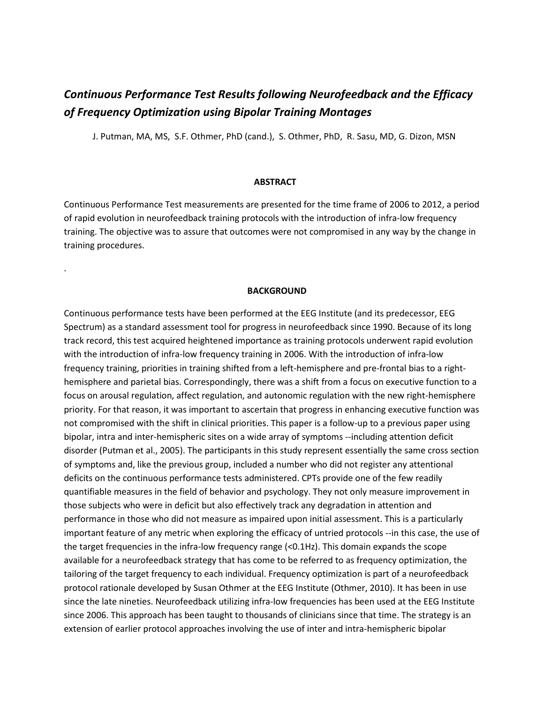# *Continuous Performance Test Results following Neurofeedback and the Efficacy of Frequency Optimization using Bipolar Training Montages*

J. Putman, MA, MS, S.F. Othmer, PhD (cand.), S. Othmer, PhD, R. Sasu, MD, G. Dizon, MSN

### **ABSTRACT**

Continuous Performance Test measurements are presented for the time frame of 2006 to 2012, a period of rapid evolution in neurofeedback training protocols with the introduction of infra-low frequency training. The objective was to assure that outcomes were not compromised in any way by the change in training procedures.

.

### **BACKGROUND**

Continuous performance tests have been performed at the EEG Institute (and its predecessor, EEG Spectrum) as a standard assessment tool for progress in neurofeedback since 1990. Because of its long track record, this test acquired heightened importance as training protocols underwent rapid evolution with the introduction of infra-low frequency training in 2006. With the introduction of infra-low frequency training, priorities in training shifted from a left-hemisphere and pre-frontal bias to a righthemisphere and parietal bias. Correspondingly, there was a shift from a focus on executive function to a focus on arousal regulation, affect regulation, and autonomic regulation with the new right-hemisphere priority. For that reason, it was important to ascertain that progress in enhancing executive function was not compromised with the shift in clinical priorities. This paper is a follow-up to a previous paper using bipolar, intra and inter-hemispheric sites on a wide array of symptoms --including attention deficit disorder (Putman et al., 2005). The participants in this study represent essentially the same cross section of symptoms and, like the previous group, included a number who did not register any attentional deficits on the continuous performance tests administered. CPTs provide one of the few readily quantifiable measures in the field of behavior and psychology. They not only measure improvement in those subjects who were in deficit but also effectively track any degradation in attention and performance in those who did not measure as impaired upon initial assessment. This is a particularly important feature of any metric when exploring the efficacy of untried protocols --in this case, the use of the target frequencies in the infra-low frequency range (<0.1Hz). This domain expands the scope available for a neurofeedback strategy that has come to be referred to as frequency optimization, the tailoring of the target frequency to each individual. Frequency optimization is part of a neurofeedback protocol rationale developed by Susan Othmer at the EEG Institute (Othmer, 2010). It has been in use since the late nineties. Neurofeedback utilizing infra-low frequencies has been used at the EEG Institute since 2006. This approach has been taught to thousands of clinicians since that time. The strategy is an extension of earlier protocol approaches involving the use of inter and intra-hemispheric bipolar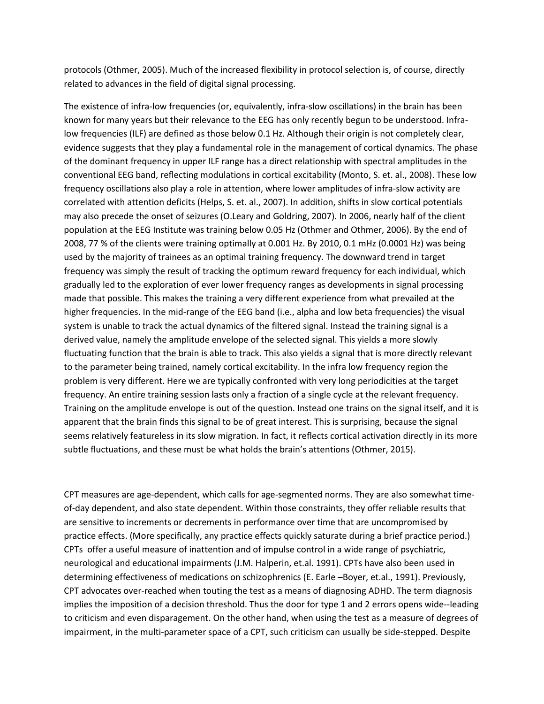protocols (Othmer, 2005). Much of the increased flexibility in protocol selection is, of course, directly related to advances in the field of digital signal processing.

The existence of infra-low frequencies (or, equivalently, infra-slow oscillations) in the brain has been known for many years but their relevance to the EEG has only recently begun to be understood. Infralow frequencies (ILF) are defined as those below 0.1 Hz. Although their origin is not completely clear, evidence suggests that they play a fundamental role in the management of cortical dynamics. The phase of the dominant frequency in upper ILF range has a direct relationship with spectral amplitudes in the conventional EEG band, reflecting modulations in cortical excitability (Monto, S. et. al., 2008). These low frequency oscillations also play a role in attention, where lower amplitudes of infra-slow activity are correlated with attention deficits (Helps, S. et. al., 2007). In addition, shifts in slow cortical potentials may also precede the onset of seizures (O.Leary and Goldring, 2007). In 2006, nearly half of the client population at the EEG Institute was training below 0.05 Hz (Othmer and Othmer, 2006). By the end of 2008, 77 % of the clients were training optimally at 0.001 Hz. By 2010, 0.1 mHz (0.0001 Hz) was being used by the majority of trainees as an optimal training frequency. The downward trend in target frequency was simply the result of tracking the optimum reward frequency for each individual, which gradually led to the exploration of ever lower frequency ranges as developments in signal processing made that possible. This makes the training a very different experience from what prevailed at the higher frequencies. In the mid-range of the EEG band (i.e., alpha and low beta frequencies) the visual system is unable to track the actual dynamics of the filtered signal. Instead the training signal is a derived value, namely the amplitude envelope of the selected signal. This yields a more slowly fluctuating function that the brain is able to track. This also yields a signal that is more directly relevant to the parameter being trained, namely cortical excitability. In the infra low frequency region the problem is very different. Here we are typically confronted with very long periodicities at the target frequency. An entire training session lasts only a fraction of a single cycle at the relevant frequency. Training on the amplitude envelope is out of the question. Instead one trains on the signal itself, and it is apparent that the brain finds this signal to be of great interest. This is surprising, because the signal seems relatively featureless in its slow migration. In fact, it reflects cortical activation directly in its more subtle fluctuations, and these must be what holds the brain's attentions (Othmer, 2015).

CPT measures are age-dependent, which calls for age-segmented norms. They are also somewhat timeof-day dependent, and also state dependent. Within those constraints, they offer reliable results that are sensitive to increments or decrements in performance over time that are uncompromised by practice effects. (More specifically, any practice effects quickly saturate during a brief practice period.) CPTs offer a useful measure of inattention and of impulse control in a wide range of psychiatric, neurological and educational impairments (J.M. Halperin, et.al. 1991). CPTs have also been used in determining effectiveness of medications on schizophrenics (E. Earle –Boyer, et.al., 1991). Previously, CPT advocates over-reached when touting the test as a means of diagnosing ADHD. The term diagnosis implies the imposition of a decision threshold. Thus the door for type 1 and 2 errors opens wide--leading to criticism and even disparagement. On the other hand, when using the test as a measure of degrees of impairment, in the multi-parameter space of a CPT, such criticism can usually be side-stepped. Despite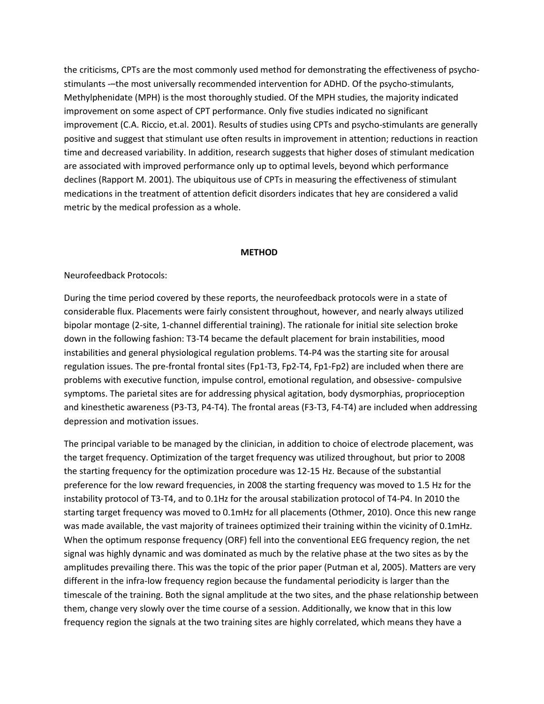the criticisms, CPTs are the most commonly used method for demonstrating the effectiveness of psychostimulants -–the most universally recommended intervention for ADHD. Of the psycho-stimulants, Methylphenidate (MPH) is the most thoroughly studied. Of the MPH studies, the majority indicated improvement on some aspect of CPT performance. Only five studies indicated no significant improvement (C.A. Riccio, et.al. 2001). Results of studies using CPTs and psycho-stimulants are generally positive and suggest that stimulant use often results in improvement in attention; reductions in reaction time and decreased variability. In addition, research suggests that higher doses of stimulant medication are associated with improved performance only up to optimal levels, beyond which performance declines (Rapport M. 2001). The ubiquitous use of CPTs in measuring the effectiveness of stimulant medications in the treatment of attention deficit disorders indicates that hey are considered a valid metric by the medical profession as a whole.

### **METHOD**

### Neurofeedback Protocols:

During the time period covered by these reports, the neurofeedback protocols were in a state of considerable flux. Placements were fairly consistent throughout, however, and nearly always utilized bipolar montage (2-site, 1-channel differential training). The rationale for initial site selection broke down in the following fashion: T3-T4 became the default placement for brain instabilities, mood instabilities and general physiological regulation problems. T4-P4 was the starting site for arousal regulation issues. The pre-frontal frontal sites (Fp1-T3, Fp2-T4, Fp1-Fp2) are included when there are problems with executive function, impulse control, emotional regulation, and obsessive- compulsive symptoms. The parietal sites are for addressing physical agitation, body dysmorphias, proprioception and kinesthetic awareness (P3-T3, P4-T4). The frontal areas (F3-T3, F4-T4) are included when addressing depression and motivation issues.

The principal variable to be managed by the clinician, in addition to choice of electrode placement, was the target frequency. Optimization of the target frequency was utilized throughout, but prior to 2008 the starting frequency for the optimization procedure was 12-15 Hz. Because of the substantial preference for the low reward frequencies, in 2008 the starting frequency was moved to 1.5 Hz for the instability protocol of T3-T4, and to 0.1Hz for the arousal stabilization protocol of T4-P4. In 2010 the starting target frequency was moved to 0.1mHz for all placements (Othmer, 2010). Once this new range was made available, the vast majority of trainees optimized their training within the vicinity of 0.1mHz. When the optimum response frequency (ORF) fell into the conventional EEG frequency region, the net signal was highly dynamic and was dominated as much by the relative phase at the two sites as by the amplitudes prevailing there. This was the topic of the prior paper (Putman et al, 2005). Matters are very different in the infra-low frequency region because the fundamental periodicity is larger than the timescale of the training. Both the signal amplitude at the two sites, and the phase relationship between them, change very slowly over the time course of a session. Additionally, we know that in this low frequency region the signals at the two training sites are highly correlated, which means they have a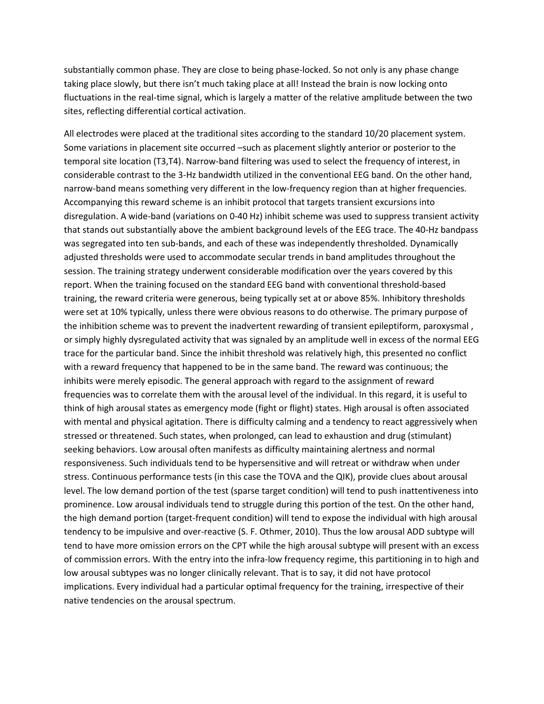substantially common phase. They are close to being phase-locked. So not only is any phase change taking place slowly, but there isn't much taking place at all! Instead the brain is now locking onto fluctuations in the real-time signal, which is largely a matter of the relative amplitude between the two sites, reflecting differential cortical activation.

All electrodes were placed at the traditional sites according to the standard 10/20 placement system. Some variations in placement site occurred –such as placement slightly anterior or posterior to the temporal site location (T3,T4). Narrow-band filtering was used to select the frequency of interest, in considerable contrast to the 3-Hz bandwidth utilized in the conventional EEG band. On the other hand, narrow-band means something very different in the low-frequency region than at higher frequencies. Accompanying this reward scheme is an inhibit protocol that targets transient excursions into disregulation. A wide-band (variations on 0-40 Hz) inhibit scheme was used to suppress transient activity that stands out substantially above the ambient background levels of the EEG trace. The 40-Hz bandpass was segregated into ten sub-bands, and each of these was independently thresholded. Dynamically adjusted thresholds were used to accommodate secular trends in band amplitudes throughout the session. The training strategy underwent considerable modification over the years covered by this report. When the training focused on the standard EEG band with conventional threshold-based training, the reward criteria were generous, being typically set at or above 85%. Inhibitory thresholds were set at 10% typically, unless there were obvious reasons to do otherwise. The primary purpose of the inhibition scheme was to prevent the inadvertent rewarding of transient epileptiform, paroxysmal , or simply highly dysregulated activity that was signaled by an amplitude well in excess of the normal EEG trace for the particular band. Since the inhibit threshold was relatively high, this presented no conflict with a reward frequency that happened to be in the same band. The reward was continuous; the inhibits were merely episodic. The general approach with regard to the assignment of reward frequencies was to correlate them with the arousal level of the individual. In this regard, it is useful to think of high arousal states as emergency mode (fight or flight) states. High arousal is often associated with mental and physical agitation. There is difficulty calming and a tendency to react aggressively when stressed or threatened. Such states, when prolonged, can lead to exhaustion and drug (stimulant) seeking behaviors. Low arousal often manifests as difficulty maintaining alertness and normal responsiveness. Such individuals tend to be hypersensitive and will retreat or withdraw when under stress. Continuous performance tests (in this case the TOVA and the QIK), provide clues about arousal level. The low demand portion of the test (sparse target condition) will tend to push inattentiveness into prominence. Low arousal individuals tend to struggle during this portion of the test. On the other hand, the high demand portion (target-frequent condition) will tend to expose the individual with high arousal tendency to be impulsive and over-reactive (S. F. Othmer, 2010). Thus the low arousal ADD subtype will tend to have more omission errors on the CPT while the high arousal subtype will present with an excess of commission errors. With the entry into the infra-low frequency regime, this partitioning in to high and low arousal subtypes was no longer clinically relevant. That is to say, it did not have protocol implications. Every individual had a particular optimal frequency for the training, irrespective of their native tendencies on the arousal spectrum.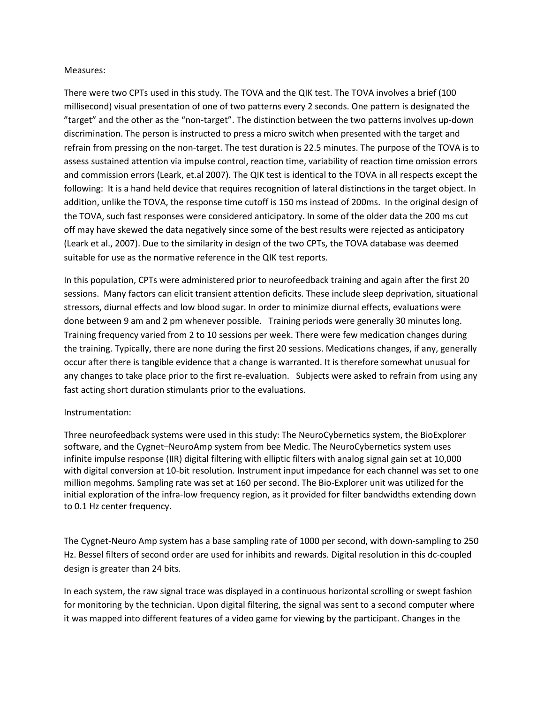## Measures:

There were two CPTs used in this study. The TOVA and the QIK test. The TOVA involves a brief (100 millisecond) visual presentation of one of two patterns every 2 seconds. One pattern is designated the "target" and the other as the "non-target". The distinction between the two patterns involves up-down discrimination. The person is instructed to press a micro switch when presented with the target and refrain from pressing on the non-target. The test duration is 22.5 minutes. The purpose of the TOVA is to assess sustained attention via impulse control, reaction time, variability of reaction time omission errors and commission errors (Leark, et.al 2007). The QIK test is identical to the TOVA in all respects except the following: It is a hand held device that requires recognition of lateral distinctions in the target object. In addition, unlike the TOVA, the response time cutoff is 150 ms instead of 200ms. In the original design of the TOVA, such fast responses were considered anticipatory. In some of the older data the 200 ms cut off may have skewed the data negatively since some of the best results were rejected as anticipatory (Leark et al., 2007). Due to the similarity in design of the two CPTs, the TOVA database was deemed suitable for use as the normative reference in the QIK test reports.

In this population, CPTs were administered prior to neurofeedback training and again after the first 20 sessions. Many factors can elicit transient attention deficits. These include sleep deprivation, situational stressors, diurnal effects and low blood sugar. In order to minimize diurnal effects, evaluations were done between 9 am and 2 pm whenever possible. Training periods were generally 30 minutes long. Training frequency varied from 2 to 10 sessions per week. There were few medication changes during the training. Typically, there are none during the first 20 sessions. Medications changes, if any, generally occur after there is tangible evidence that a change is warranted. It is therefore somewhat unusual for any changes to take place prior to the first re-evaluation. Subjects were asked to refrain from using any fast acting short duration stimulants prior to the evaluations.

## Instrumentation:

Three neurofeedback systems were used in this study: The NeuroCybernetics system, the BioExplorer software, and the Cygnet–NeuroAmp system from bee Medic. The NeuroCybernetics system uses infinite impulse response (IIR) digital filtering with elliptic filters with analog signal gain set at 10,000 with digital conversion at 10-bit resolution. Instrument input impedance for each channel was set to one million megohms. Sampling rate was set at 160 per second. The Bio-Explorer unit was utilized for the initial exploration of the infra-low frequency region, as it provided for filter bandwidths extending down to 0.1 Hz center frequency.

The Cygnet-Neuro Amp system has a base sampling rate of 1000 per second, with down-sampling to 250 Hz. Bessel filters of second order are used for inhibits and rewards. Digital resolution in this dc-coupled design is greater than 24 bits.

In each system, the raw signal trace was displayed in a continuous horizontal scrolling or swept fashion for monitoring by the technician. Upon digital filtering, the signal was sent to a second computer where it was mapped into different features of a video game for viewing by the participant. Changes in the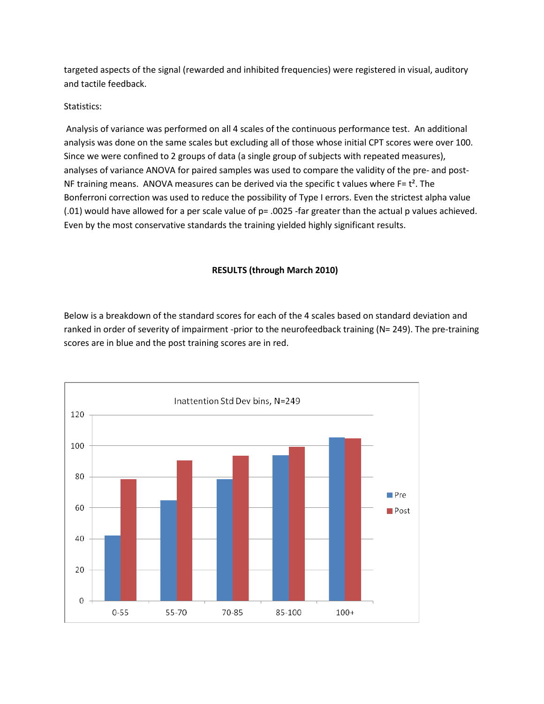targeted aspects of the signal (rewarded and inhibited frequencies) were registered in visual, auditory and tactile feedback.

## Statistics:

Analysis of variance was performed on all 4 scales of the continuous performance test. An additional analysis was done on the same scales but excluding all of those whose initial CPT scores were over 100. Since we were confined to 2 groups of data (a single group of subjects with repeated measures), analyses of variance ANOVA for paired samples was used to compare the validity of the pre- and post-NF training means. ANOVA measures can be derived via the specific t values where  $F = t^2$ . The Bonferroni correction was used to reduce the possibility of Type I errors. Even the strictest alpha value (.01) would have allowed for a per scale value of p= .0025 -far greater than the actual p values achieved. Even by the most conservative standards the training yielded highly significant results.

## **RESULTS (through March 2010)**

Below is a breakdown of the standard scores for each of the 4 scales based on standard deviation and ranked in order of severity of impairment -prior to the neurofeedback training (N= 249). The pre-training scores are in blue and the post training scores are in red.

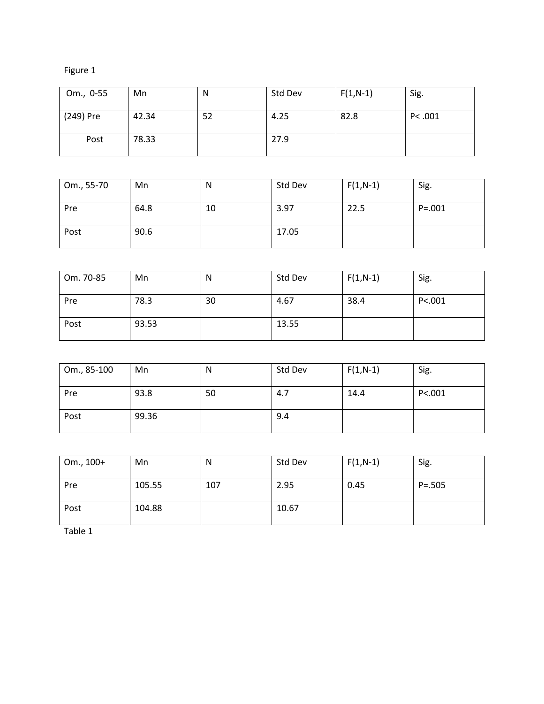| Om., 0-55 | Mn    | N  | Std Dev | $F(1,N-1)$ | Sig.   |
|-----------|-------|----|---------|------------|--------|
| (249) Pre | 42.34 | 52 | 4.25    | 82.8       | P<.001 |
| Post      | 78.33 |    | 27.9    |            |        |

| Om., 55-70 | Mn   | N  | Std Dev | $F(1,N-1)$ | Sig.       |
|------------|------|----|---------|------------|------------|
| Pre        | 64.8 | 10 | 3.97    | 22.5       | $P = .001$ |
| Post       | 90.6 |    | 17.05   |            |            |

| Om. 70-85 | Mn    | N  | Std Dev | $F(1,N-1)$ | Sig.      |
|-----------|-------|----|---------|------------|-----------|
| Pre       | 78.3  | 30 | 4.67    | 38.4       | P < 0.001 |
| Post      | 93.53 |    | 13.55   |            |           |

| Om., 85-100 | Mn    | N  | Std Dev | $F(1,N-1)$ | Sig.     |
|-------------|-------|----|---------|------------|----------|
| Pre         | 93.8  | 50 | 4.7     | 14.4       | P < .001 |
| Post        | 99.36 |    | 9.4     |            |          |

| Om., 100+ | Mn     | N   | Std Dev | $F(1,N-1)$ | Sig.       |
|-----------|--------|-----|---------|------------|------------|
| Pre       | 105.55 | 107 | 2.95    | 0.45       | $P = .505$ |
| Post      | 104.88 |     | 10.67   |            |            |

Table 1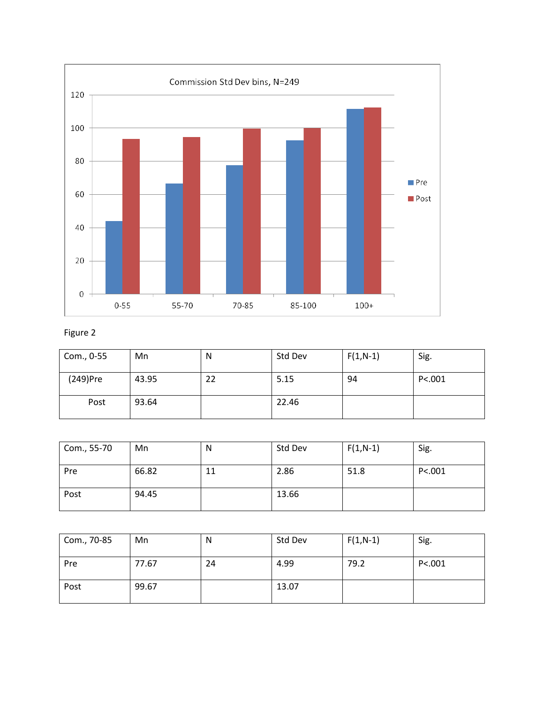

| Com., 0-55 | Mn    | N  | Std Dev | $F(1,N-1)$ | Sig.     |
|------------|-------|----|---------|------------|----------|
| (249)Pre   | 43.95 | 22 | 5.15    | 94         | P < .001 |
| Post       | 93.64 |    | 22.46   |            |          |

| Com., 55-70 | Mn    | N  | Std Dev | $F(1,N-1)$ | Sig.    |
|-------------|-------|----|---------|------------|---------|
| Pre         | 66.82 | 11 | 2.86    | 51.8       | P < 001 |
| Post        | 94.45 |    | 13.66   |            |         |

| Com., 70-85 | Mn    | N  | Std Dev | $F(1,N-1)$ | Sig.    |
|-------------|-------|----|---------|------------|---------|
| Pre         | 77.67 | 24 | 4.99    | 79.2       | P < 001 |
| Post        | 99.67 |    | 13.07   |            |         |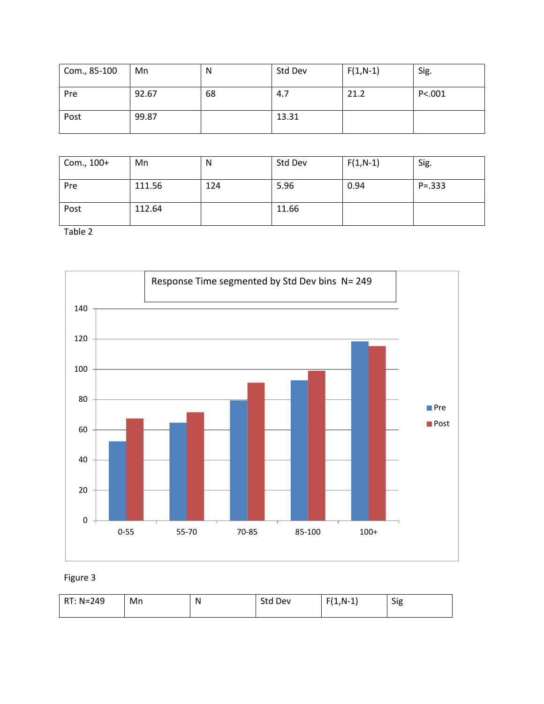| $\cdot$ Com., 85-100 | Mn    | N  | Std Dev | $F(1,N-1)$ | Sig.     |
|----------------------|-------|----|---------|------------|----------|
| Pre                  | 92.67 | 68 | 4.7     | 21.2       | P < .001 |
| Post                 | 99.87 |    | 13.31   |            |          |

| Com., 100+ | Mn     | N   | Std Dev | $F(1,N-1)$ | Sig.       |
|------------|--------|-----|---------|------------|------------|
| Pre        | 111.56 | 124 | 5.96    | 0.94       | $P = .333$ |
| Post       | 112.64 |     | 11.66   |            |            |



# Figure 3

| RT: N=249 | Mn | N | Std Dev | F/A<br>$N-1$<br>ر باش | Sig |
|-----------|----|---|---------|-----------------------|-----|
|-----------|----|---|---------|-----------------------|-----|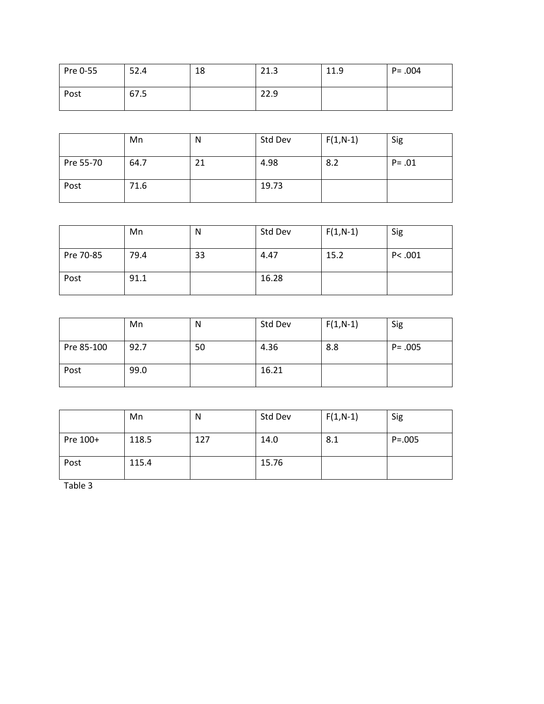| Pre 0-55 | 52.4 | 18 | 21.3 | 11.9 | $P = .004$ |
|----------|------|----|------|------|------------|
| Post     | 67.5 |    | 22.9 |      |            |

|           | Mn   | N  | Std Dev | $F(1,N-1)$ | Sig       |
|-----------|------|----|---------|------------|-----------|
| Pre 55-70 | 64.7 | 21 | 4.98    | 8.2        | $P = .01$ |
| Post      | 71.6 |    | 19.73   |            |           |

|           | Mn   | N  | Std Dev | $F(1,N-1)$ | Sig    |
|-----------|------|----|---------|------------|--------|
| Pre 70-85 | 79.4 | 33 | 4.47    | 15.2       | P<.001 |
| Post      | 91.1 |    | 16.28   |            |        |

|            | Mn   | N  | Std Dev | $F(1,N-1)$ | Sig        |
|------------|------|----|---------|------------|------------|
| Pre 85-100 | 92.7 | 50 | 4.36    | 8.8        | $P = .005$ |
| Post       | 99.0 |    | 16.21   |            |            |

|          | Mn    | N   | Std Dev | $F(1,N-1)$ | Sig        |
|----------|-------|-----|---------|------------|------------|
| Pre 100+ | 118.5 | 127 | 14.0    | 8.1        | $P = .005$ |
| Post     | 115.4 |     | 15.76   |            |            |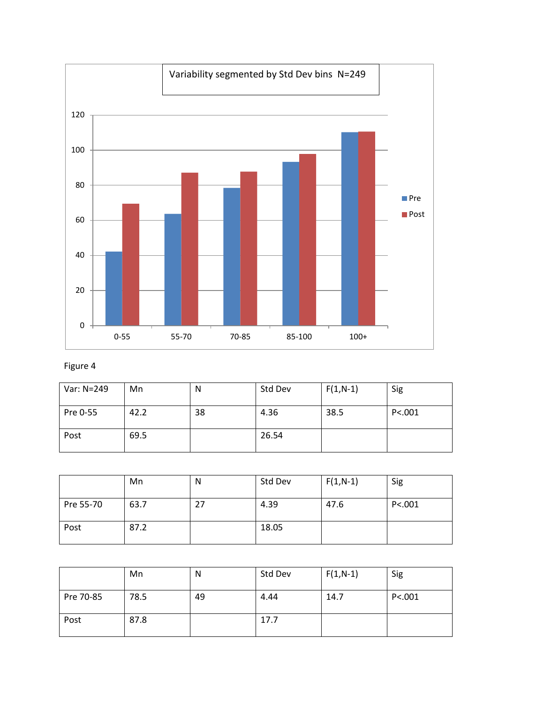

| Var: N=249 | Mn   | N  | Std Dev | $F(1,N-1)$ | Sig      |
|------------|------|----|---------|------------|----------|
| Pre 0-55   | 42.2 | 38 | 4.36    | 38.5       | P < .001 |
| Post       | 69.5 |    | 26.54   |            |          |

|           | Mn   | N  | Std Dev | $F(1,N-1)$ | Sig     |
|-----------|------|----|---------|------------|---------|
| Pre 55-70 | 63.7 | 27 | 4.39    | 47.6       | P < 001 |
| Post      | 87.2 |    | 18.05   |            |         |

|           | Mn   | N  | Std Dev | $F(1,N-1)$ | Sig      |
|-----------|------|----|---------|------------|----------|
| Pre 70-85 | 78.5 | 49 | 4.44    | 14.7       | P < .001 |
| Post      | 87.8 |    | 17.7    |            |          |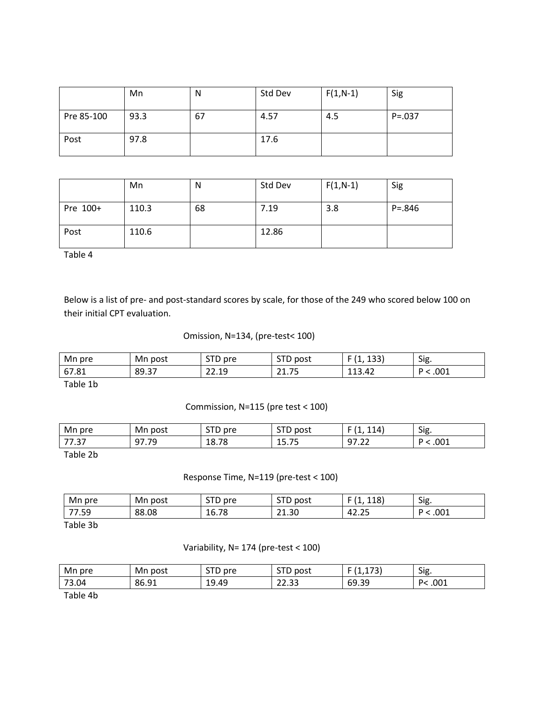|            | Mn   | N  | Std Dev | $F(1,N-1)$ | Sig        |
|------------|------|----|---------|------------|------------|
| Pre 85-100 | 93.3 | 67 | 4.57    | 4.5        | $P = .037$ |
| Post       | 97.8 |    | 17.6    |            |            |

|          | Mn    | N  | Std Dev | $F(1,N-1)$ | Sig        |
|----------|-------|----|---------|------------|------------|
| Pre 100+ | 110.3 | 68 | 7.19    | 3.8        | $P = .846$ |
| Post     | 110.6 |    | 12.86   |            |            |

Below is a list of pre- and post-standard scores by scale, for those of the 249 who scored below 100 on their initial CPT evaluation.

## Omission, N=134, (pre-test< 100)

| Mn<br>pre | post<br>Mn                     | CTD<br>pre<br>J<br>. . | $ -$<br>post<br>ັ    | ו הרו<br>ᅩJJ<br>. | Sig. |
|-----------|--------------------------------|------------------------|----------------------|-------------------|------|
| 67.81     | $\circ$<br>$\sim$ $-$<br>,,,,, | ~~<br>10               | $- -$<br>$\sim$<br>ر | 113.42            | .001 |

Table 1b

## Commission, N=115 (pre test < 100)

| Mn<br>pre                                 | Mn<br>post                                            | CTD<br>pre<br>. . | $\sim$ $\sim$<br>post<br>ັ<br>. . | 114'              | Sig. |
|-------------------------------------------|-------------------------------------------------------|-------------------|-----------------------------------|-------------------|------|
| $\overline{\phantom{a}}$<br>$\sim$<br>، ن | $\sim$ $\sim$<br>7 <sup>c</sup><br>. .<br><i>,,,,</i> | 70<br>۱o<br>10.70 | $- -$<br><b>10.70</b>             | $\sim$<br>07<br>. | .001 |

Table 2b

## Response Time, N=119 (pre-test < 100)

| Mn pre           | Mn post | CTD<br>pre<br>ا د<br>◡ | CTD<br>post<br>טוכ | 110<br>$\overline{14}$<br>110) | Sig. |
|------------------|---------|------------------------|--------------------|--------------------------------|------|
| --<br>7.59       | 88.08   | 16.78                  | 21.30              | 42.2                           | .001 |
| $ -$<br>$\sim$ 1 |         |                        |                    |                                |      |

Table 3b

## Variability, N= 174 (pre-test < 100)

| Mn pre | Mn post | <b>STD</b><br>pre | CTC<br>post<br>ט ו<br>ັ   | $\neg$<br>1.I/J | Sig.        |
|--------|---------|-------------------|---------------------------|-----------------|-------------|
| 73.04  | 86.91   | 19.49             | $\sim$<br>$\sim$<br>22.JJ | 69.39           | .001<br>∕ ¤ |
|        |         |                   |                           |                 |             |

Table 4b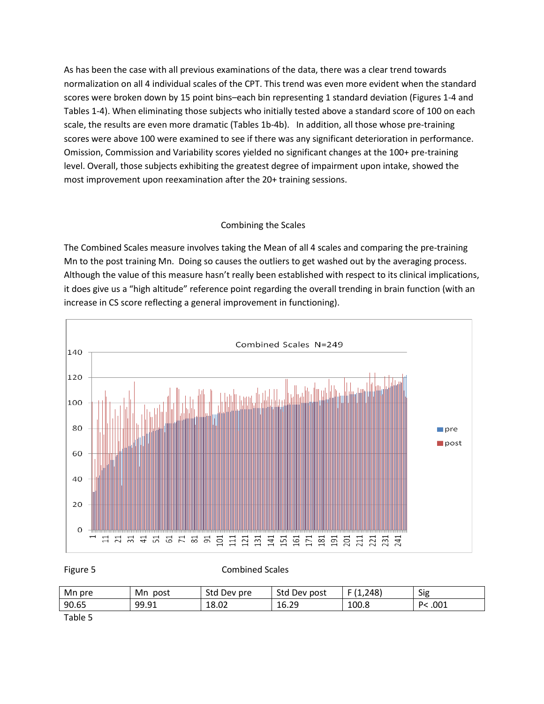As has been the case with all previous examinations of the data, there was a clear trend towards normalization on all 4 individual scales of the CPT. This trend was even more evident when the standard scores were broken down by 15 point bins–each bin representing 1 standard deviation (Figures 1-4 and Tables 1-4). When eliminating those subjects who initially tested above a standard score of 100 on each scale, the results are even more dramatic (Tables 1b-4b). In addition, all those whose pre-training scores were above 100 were examined to see if there was any significant deterioration in performance. Omission, Commission and Variability scores yielded no significant changes at the 100+ pre-training level. Overall, those subjects exhibiting the greatest degree of impairment upon intake, showed the most improvement upon reexamination after the 20+ training sessions.

## Combining the Scales

The Combined Scales measure involves taking the Mean of all 4 scales and comparing the pre-training Mn to the post training Mn. Doing so causes the outliers to get washed out by the averaging process. Although the value of this measure hasn't really been established with respect to its clinical implications, it does give us a "high altitude" reference point regarding the overall trending in brain function (with an increase in CS score reflecting a general improvement in functioning).



Figure 5 Combined Scales

| Mn<br>pre                        | Mn<br>post | Std<br>Dev pre | Std<br>Dev post | .248  | Sig         |
|----------------------------------|------------|----------------|-----------------|-------|-------------|
| 90.65                            | 99.91      | 18.02          | 16.29           | 100.8 | .001<br>ے 0 |
| $ -$<br>$\overline{\phantom{0}}$ |            |                |                 |       |             |

Table 5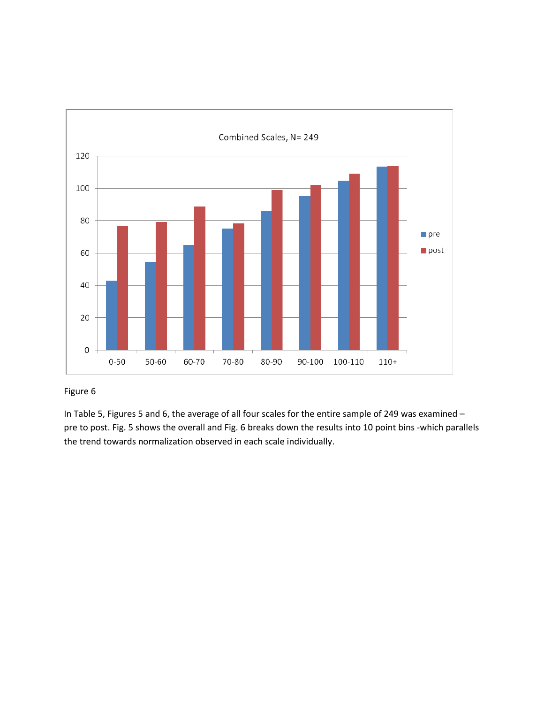

In Table 5, Figures 5 and 6, the average of all four scales for the entire sample of 249 was examined – pre to post. Fig. 5 shows the overall and Fig. 6 breaks down the results into 10 point bins -which parallels the trend towards normalization observed in each scale individually.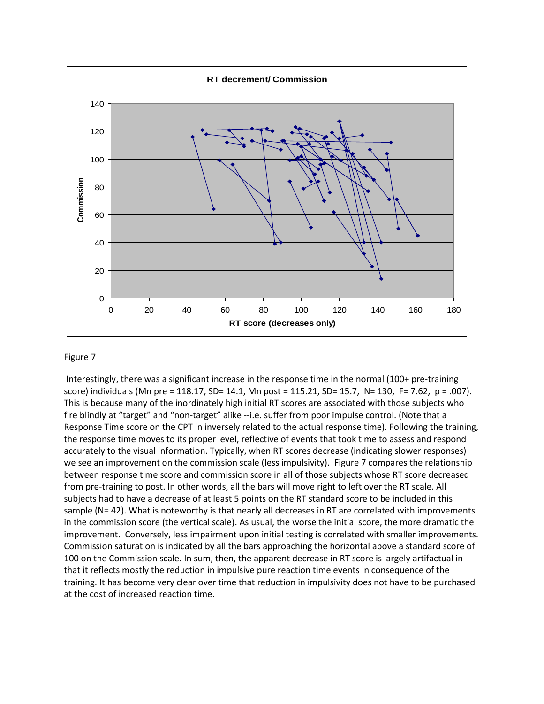

Interestingly, there was a significant increase in the response time in the normal (100+ pre-training score) individuals (Mn pre = 118.17, SD= 14.1, Mn post = 115.21, SD= 15.7, N= 130, F= 7.62, p = .007). This is because many of the inordinately high initial RT scores are associated with those subjects who fire blindly at "target" and "non-target" alike --i.e. suffer from poor impulse control. (Note that a Response Time score on the CPT in inversely related to the actual response time). Following the training, the response time moves to its proper level, reflective of events that took time to assess and respond accurately to the visual information. Typically, when RT scores decrease (indicating slower responses) we see an improvement on the commission scale (less impulsivity). Figure 7 compares the relationship between response time score and commission score in all of those subjects whose RT score decreased from pre-training to post. In other words, all the bars will move right to left over the RT scale. All subjects had to have a decrease of at least 5 points on the RT standard score to be included in this sample (N= 42). What is noteworthy is that nearly all decreases in RT are correlated with improvements in the commission score (the vertical scale). As usual, the worse the initial score, the more dramatic the improvement. Conversely, less impairment upon initial testing is correlated with smaller improvements. Commission saturation is indicated by all the bars approaching the horizontal above a standard score of 100 on the Commission scale. In sum, then, the apparent decrease in RT score is largely artifactual in that it reflects mostly the reduction in impulsive pure reaction time events in consequence of the training. It has become very clear over time that reduction in impulsivity does not have to be purchased at the cost of increased reaction time.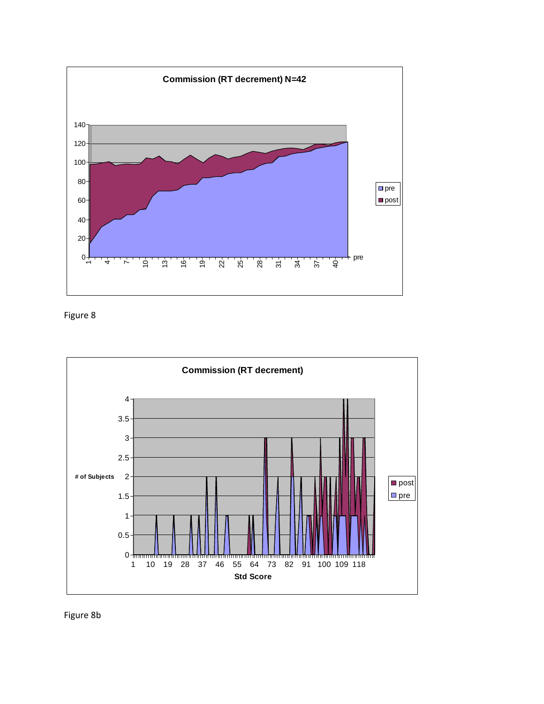



Figure 8b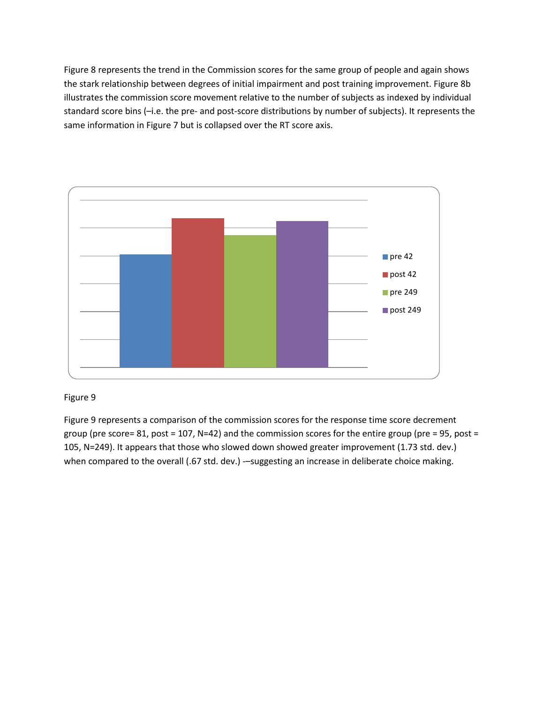Figure 8 represents the trend in the Commission scores for the same group of people and again shows the stark relationship between degrees of initial impairment and post training improvement. Figure 8b illustrates the commission score movement relative to the number of subjects as indexed by individual standard score bins (–i.e. the pre- and post-score distributions by number of subjects). It represents the same information in Figure 7 but is collapsed over the RT score axis.



## Figure 9

Figure 9 represents a comparison of the commission scores for the response time score decrement group (pre score= 81, post = 107, N=42) and the commission scores for the entire group (pre = 95, post = 105, N=249). It appears that those who slowed down showed greater improvement (1.73 std. dev.) when compared to the overall (.67 std. dev.) --suggesting an increase in deliberate choice making.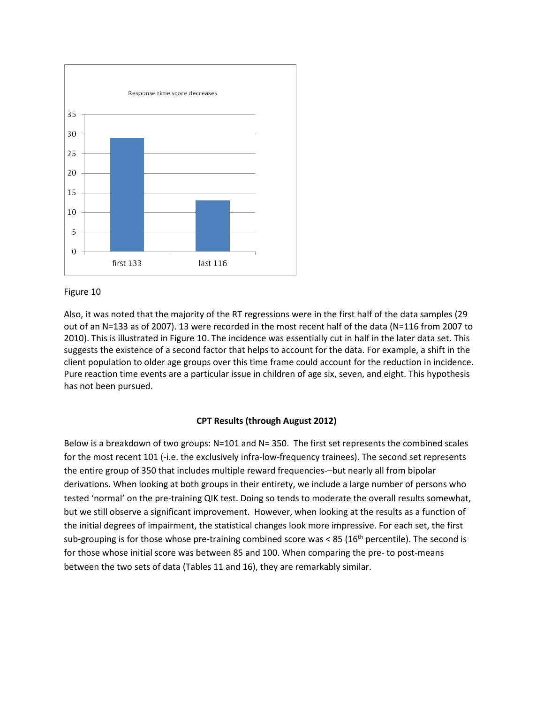

Also, it was noted that the majority of the RT regressions were in the first half of the data samples (29 out of an N=133 as of 2007). 13 were recorded in the most recent half of the data (N=116 from 2007 to 2010). This is illustrated in Figure 10. The incidence was essentially cut in half in the later data set. This suggests the existence of a second factor that helps to account for the data. For example, a shift in the client population to older age groups over this time frame could account for the reduction in incidence. Pure reaction time events are a particular issue in children of age six, seven, and eight. This hypothesis has not been pursued.

## **CPT Results (through August 2012)**

Below is a breakdown of two groups: N=101 and N= 350. The first set represents the combined scales for the most recent 101 (-i.e. the exclusively infra-low-frequency trainees). The second set represents the entire group of 350 that includes multiple reward frequencies-–but nearly all from bipolar derivations. When looking at both groups in their entirety, we include a large number of persons who tested 'normal' on the pre-training QIK test. Doing so tends to moderate the overall results somewhat, but we still observe a significant improvement. However, when looking at the results as a function of the initial degrees of impairment, the statistical changes look more impressive. For each set, the first sub-grouping is for those whose pre-training combined score was  $< 85$  (16<sup>th</sup> percentile). The second is for those whose initial score was between 85 and 100. When comparing the pre- to post-means between the two sets of data (Tables 11 and 16), they are remarkably similar.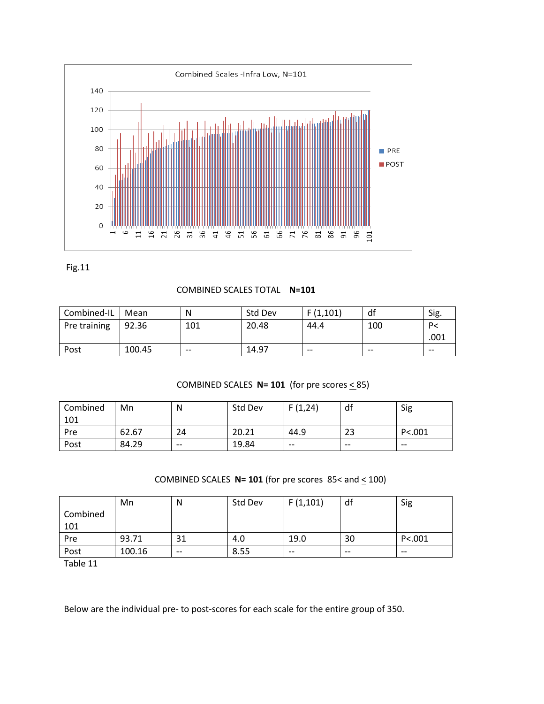



## COMBINED SCALES TOTAL **N=101**

| Combined-IL  | Mean   | N     | Std Dev | F(1,101) | df    | Sig.  |
|--------------|--------|-------|---------|----------|-------|-------|
| Pre training | 92.36  | 101   | 20.48   | 44.4     | 100   | P<    |
|              |        |       |         |          |       | .001  |
| Post         | 100.45 | $- -$ | 14.97   | $- -$    | $- -$ | $- -$ |

## COMBINED SCALES **N= 101** (for pre scores < 85)

| Combined | Mn    | N     | Std Dev | F(1,24) | df    | Sig     |
|----------|-------|-------|---------|---------|-------|---------|
| 101      |       |       |         |         |       |         |
| Pre      | 62.67 | 24    | 20.21   | 44.9    | 23    | P < 001 |
| Post     | 84.29 | $- -$ | 19.84   | $- -$   | $- -$ | $- -$   |

## COMBINED SCALES  $N= 101$  (for pre scores 85< and  $\leq 100$ )

|          | Mn     | N     | Std Dev | F(1,101) | df    | Sig      |
|----------|--------|-------|---------|----------|-------|----------|
| Combined |        |       |         |          |       |          |
| 101      |        |       |         |          |       |          |
| Pre      | 93.71  |       | 4.0     | 19.0     | 30    | P < .001 |
| Post     | 100.16 | $- -$ | 8.55    | $- -$    | $- -$ | $- -$    |

Table 11

Below are the individual pre- to post-scores for each scale for the entire group of 350.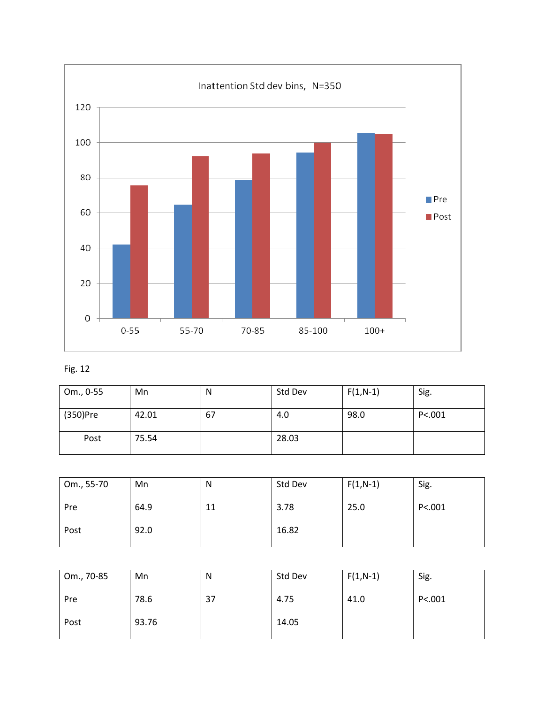

Fig. 12

| Om., 0-55 | Mn    | N  | Std Dev | $F(1,N-1)$ | Sig.    |
|-----------|-------|----|---------|------------|---------|
| (350)Pre  | 42.01 | 67 | 4.0     | 98.0       | P < 001 |
| Post      | 75.54 |    | 28.03   |            |         |

| Om., 55-70 | Mn   | N  | Std Dev | $F(1,N-1)$ | Sig.     |
|------------|------|----|---------|------------|----------|
| Pre        | 64.9 | 11 | 3.78    | 25.0       | P < .001 |
| Post       | 92.0 |    | 16.82   |            |          |

| Om., 70-85 | Mn    | N  | Std Dev | $F(1,N-1)$ | Sig.     |
|------------|-------|----|---------|------------|----------|
| Pre        | 78.6  | 37 | 4.75    | 41.0       | P < .001 |
| Post       | 93.76 |    | 14.05   |            |          |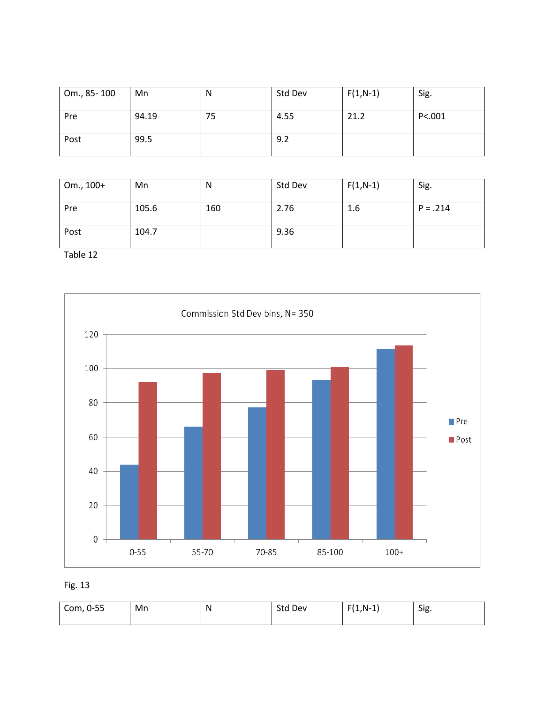| $0m., 85-100$ | Mn    | N  | Std Dev | $F(1,N-1)$ | Sig.     |
|---------------|-------|----|---------|------------|----------|
| Pre           | 94.19 | 75 | 4.55    | 21.2       | P < .001 |
| Post          | 99.5  |    | 9.2     |            |          |

| Om., 100+ | Mn    | N   | Std Dev | $F(1,N-1)$ | Sig.       |
|-----------|-------|-----|---------|------------|------------|
| Pre       | 105.6 | 160 | 2.76    | 1.6        | $P = .214$ |
| Post      | 104.7 |     | 9.36    |            |            |



## Fig. 13

| Com, 0-55 | Mn | N | Std<br>Dev | $-14$<br>$N-$<br><u>д.</u><br>. | Sig. |
|-----------|----|---|------------|---------------------------------|------|
|           |    |   |            |                                 |      |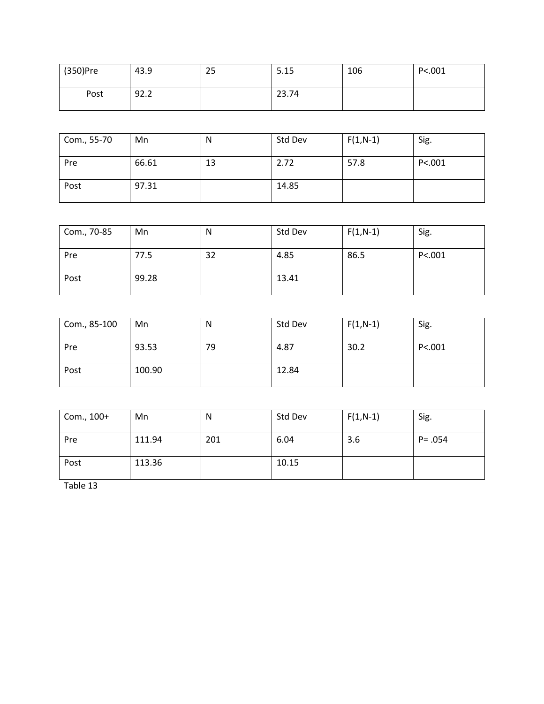| (350)Pre | 43.9 | 25 | <b>515</b><br>ر … | 106 | P < .001 |
|----------|------|----|-------------------|-----|----------|
| Post     | 92.2 |    | 23.74             |     |          |

| Com., 55-70 | Mn    | N  | Std Dev | $F(1,N-1)$ | Sig.     |
|-------------|-------|----|---------|------------|----------|
| Pre         | 66.61 | 13 | 2.72    | 57.8       | P < .001 |
| Post        | 97.31 |    | 14.85   |            |          |

| Com., 70-85 | Mn    | N  | Std Dev | $F(1,N-1)$ | Sig.     |
|-------------|-------|----|---------|------------|----------|
| Pre         | 77.5  | 32 | 4.85    | 86.5       | P < .001 |
| Post        | 99.28 |    | 13.41   |            |          |

| Com., 85-100 | Mn     | N  | Std Dev | $F(1,N-1)$ | Sig.      |
|--------------|--------|----|---------|------------|-----------|
| Pre          | 93.53  | 79 | 4.87    | 30.2       | P < 0.001 |
| Post         | 100.90 |    | 12.84   |            |           |

| Com., 100+ | Mn     | N   | Std Dev | $F(1,N-1)$ | Sig.       |
|------------|--------|-----|---------|------------|------------|
| Pre        | 111.94 | 201 | 6.04    | 3.6        | $P = .054$ |
| Post       | 113.36 |     | 10.15   |            |            |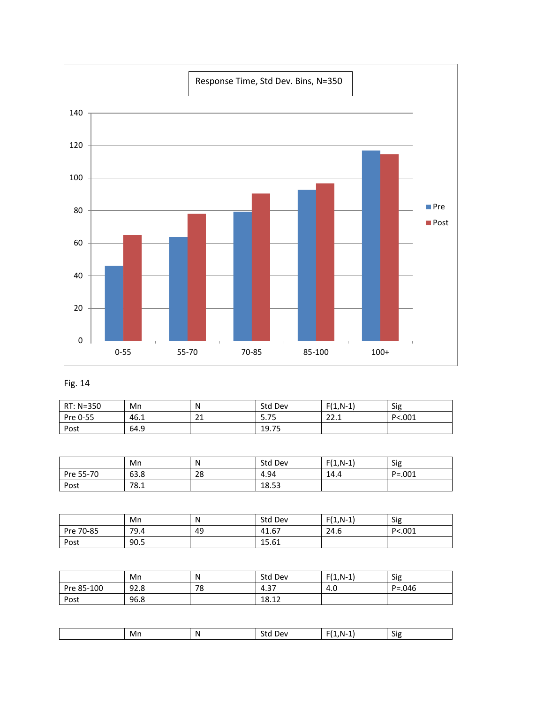

# Fig. 14

| RT: N=350 | Mn   | N        | Std Dev    | F(1)<br>(1,N-1) | Sig    |
|-----------|------|----------|------------|-----------------|--------|
| Pre 0-55  | 46.1 | 21<br>ᅀᅩ | 7r<br>5.75 | າາ 1<br>22.1    | P<.001 |
| Post      | 64.9 |          | 19.75      |                 |        |

|           | Mn   | N  | Std Dev | $F(1,N-1)$ | Sig         |
|-----------|------|----|---------|------------|-------------|
| Pre 55-70 | 63.8 | 28 | 4.94    | 14.4       | $P = 0.001$ |
| Post      | 78.1 |    | 18.53   |            |             |

|           | Mn   | N  | Std Dev | $F(1,N-1)$ | Sig     |
|-----------|------|----|---------|------------|---------|
| Pre 70-85 | 79.4 | 49 | 41.67   | 24.6       | P < 001 |
| Post      | 90.5 |    | 15.61   |            |         |

|            | Mn   | Ν  | Std Dev | $F(1,N-1)$ | Sig         |
|------------|------|----|---------|------------|-------------|
| Pre 85-100 | 92.8 | 78 | 4.37    | 4.G        | $P = 0.046$ |
| Post       | 96.8 |    | 18.12   |            |             |

|  | Mn | N | ים נ<br>. . | .<br>.<br>- | $\sim$<br>Sig |
|--|----|---|-------------|-------------|---------------|
|  |    |   |             |             |               |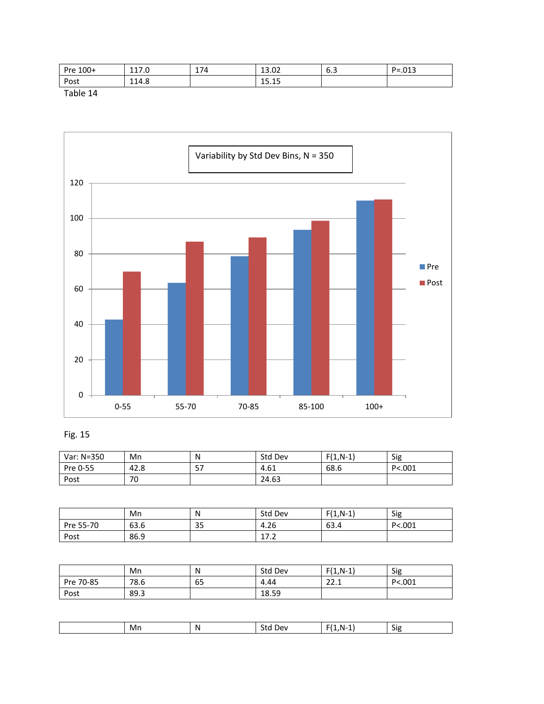| $100+$<br>Pre | 1170<br>117.U | 74 | $\sim$<br>$\sim$<br>13.UZ                 | $\overline{\phantom{0}}$<br><b>b.3</b> | 0.17<br>D-<br>--.ulu |
|---------------|---------------|----|-------------------------------------------|----------------------------------------|----------------------|
| Post          | 114.8         |    | 1 <sup>2</sup><br>$\overline{a}$<br>ᅩJ.⊥J |                                        |                      |

Table 14



## Fig. 15

| Var: N=350 | Mn   | N  | Std Dev | $F(1,N-1)$ | Sig    |
|------------|------|----|---------|------------|--------|
| Pre 0-55   | 42.8 | 57 | 4.61    | 68.6       | P<.001 |
| Post       | 70   |    | 24.63   |            |        |

|           | Mn   | N  | Std Dev     | $F(1,N-1)$ | Sig     |
|-----------|------|----|-------------|------------|---------|
| Pre 55-70 | 63.6 | 35 | 4.26        | 63.4       | P < 001 |
| Post      | 86.9 |    | 177<br>17.L |            |         |

|           | Mn   | Ν  | Std Dev | $F(1,N-1)$    | Sig    |
|-----------|------|----|---------|---------------|--------|
| Pre 70-85 | 78.6 | 65 | 4.44    | າາ 1<br>44. L | P<.001 |
| Post      | 89.3 |    | 18.59   |               |        |

| $\sim$<br>Mn<br>N<br>۱۵۱<br>216<br>IM.<br>-- |  |  |  |
|----------------------------------------------|--|--|--|
|                                              |  |  |  |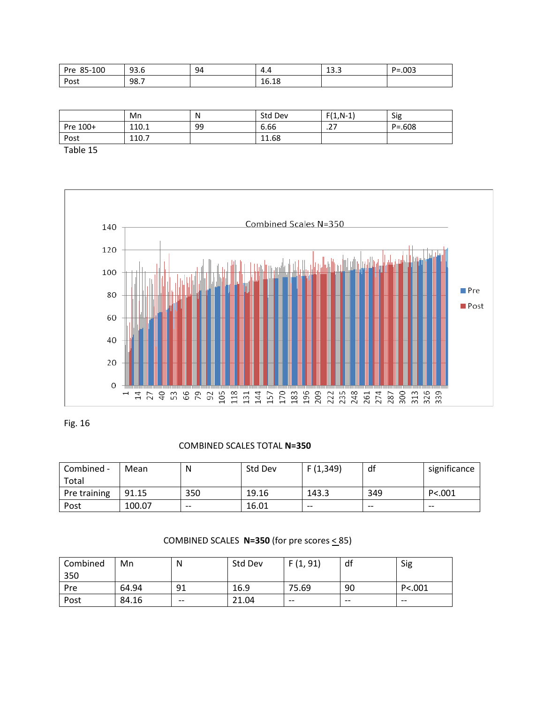| -100<br>85-<br>Drc<br>oJ<br>. <u>.</u> | 93.6 | 94 | 4<br> | $\overline{\phantom{a}}$<br>-<br>د.د⊥ | :003<br>$P =$ |
|----------------------------------------|------|----|-------|---------------------------------------|---------------|
| Post                                   | 98.7 |    | 16.18 |                                       |               |

|          | Mn    | N  | Std Dev | E/1<br>$(1, N-1)$  | Sig       |
|----------|-------|----|---------|--------------------|-----------|
| Pre 100+ | 110.1 | 99 | 6.66    | $\mathcal{L}$<br>. | $P = 608$ |
| Post     | 110.7 |    | 11.68   |                    |           |



Fig. 16

## COMBINED SCALES TOTAL **N=350**

| Combined -   | Mean   | Ν     | Std Dev | F(1,349) | df    | significance |
|--------------|--------|-------|---------|----------|-------|--------------|
| Total        |        |       |         |          |       |              |
| Pre training | 91.15  | 350   | 19.16   | 143.3    | 349   | P<.001       |
| Post         | 100.07 | $- -$ | 16.01   | $- -$    | $- -$ | $- -$        |

COMBINED SCALES **N=350** (for pre scores < 85)

| Combined | Mn    | N     | Std Dev | F(1, 91) | df    | Sig      |
|----------|-------|-------|---------|----------|-------|----------|
| 350      |       |       |         |          |       |          |
| Pre      | 64.94 | 91    | 16.9    | 75.69    | 90    | P < .001 |
| Post     | 84.16 | $- -$ | 21.04   | $- -$    | $- -$ | $- -$    |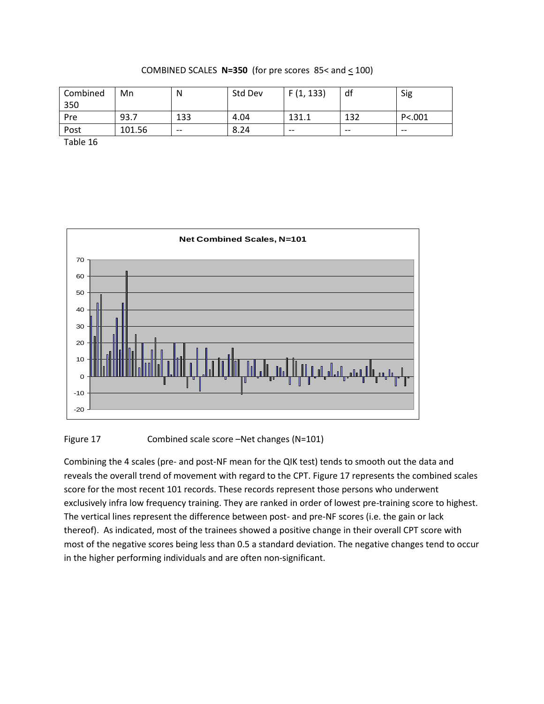| Combined<br>350 | Mn     | N     | Std Dev | F(1, 133) | df    | Sig     |
|-----------------|--------|-------|---------|-----------|-------|---------|
| Pre             | 93.7   | 133   | 4.04    | 131.1     | 132   | P < 001 |
| Post            | 101.56 | $- -$ | 8.24    | $- -$     | $- -$ | $- -$   |
|                 |        |       |         |           |       |         |

COMBINED SCALES  $N=350$  (for pre scores 85< and  $\leq 100$ )



Figure 17 Combined scale score –Net changes (N=101)

Combining the 4 scales (pre- and post-NF mean for the QIK test) tends to smooth out the data and reveals the overall trend of movement with regard to the CPT. Figure 17 represents the combined scales score for the most recent 101 records. These records represent those persons who underwent exclusively infra low frequency training. They are ranked in order of lowest pre-training score to highest. The vertical lines represent the difference between post- and pre-NF scores (i.e. the gain or lack thereof). As indicated, most of the trainees showed a positive change in their overall CPT score with most of the negative scores being less than 0.5 a standard deviation. The negative changes tend to occur in the higher performing individuals and are often non-significant.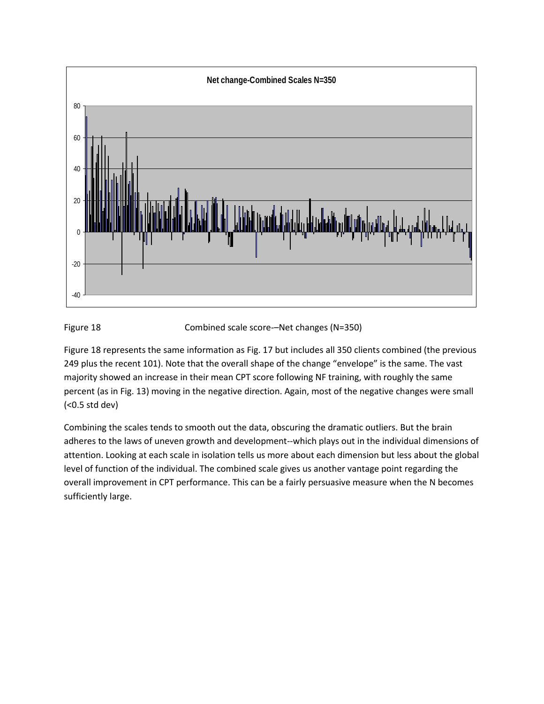

Figure 18 Combined scale score-–Net changes (N=350)

Figure 18 represents the same information as Fig. 17 but includes all 350 clients combined (the previous 249 plus the recent 101). Note that the overall shape of the change "envelope" is the same. The vast majority showed an increase in their mean CPT score following NF training, with roughly the same percent (as in Fig. 13) moving in the negative direction. Again, most of the negative changes were small (<0.5 std dev)

Combining the scales tends to smooth out the data, obscuring the dramatic outliers. But the brain adheres to the laws of uneven growth and development--which plays out in the individual dimensions of attention. Looking at each scale in isolation tells us more about each dimension but less about the global level of function of the individual. The combined scale gives us another vantage point regarding the overall improvement in CPT performance. This can be a fairly persuasive measure when the N becomes sufficiently large.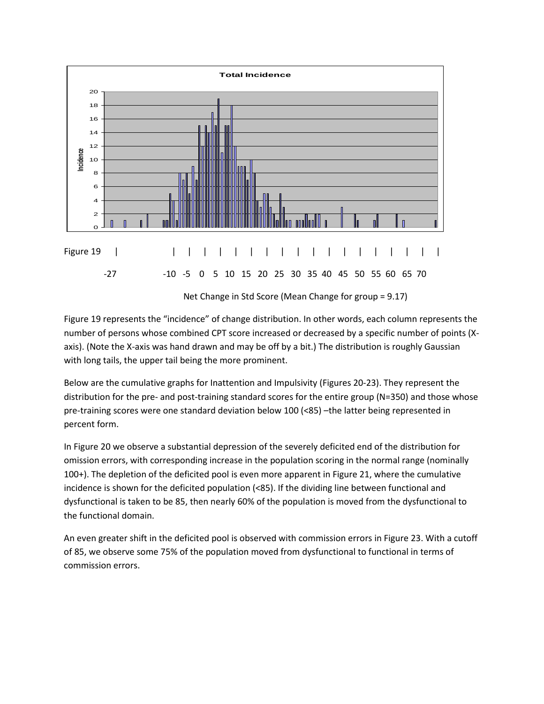

Figure 19 represents the "incidence" of change distribution. In other words, each column represents the number of persons whose combined CPT score increased or decreased by a specific number of points (Xaxis). (Note the X-axis was hand drawn and may be off by a bit.) The distribution is roughly Gaussian with long tails, the upper tail being the more prominent.

Below are the cumulative graphs for Inattention and Impulsivity (Figures 20-23). They represent the distribution for the pre- and post-training standard scores for the entire group (N=350) and those whose pre-training scores were one standard deviation below 100 (<85) –the latter being represented in percent form.

In Figure 20 we observe a substantial depression of the severely deficited end of the distribution for omission errors, with corresponding increase in the population scoring in the normal range (nominally 100+). The depletion of the deficited pool is even more apparent in Figure 21, where the cumulative incidence is shown for the deficited population (<85). If the dividing line between functional and dysfunctional is taken to be 85, then nearly 60% of the population is moved from the dysfunctional to the functional domain.

An even greater shift in the deficited pool is observed with commission errors in Figure 23. With a cutoff of 85, we observe some 75% of the population moved from dysfunctional to functional in terms of commission errors.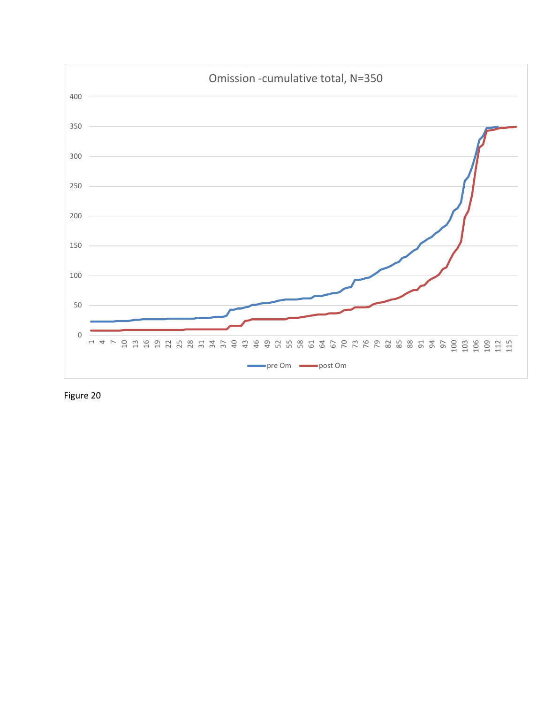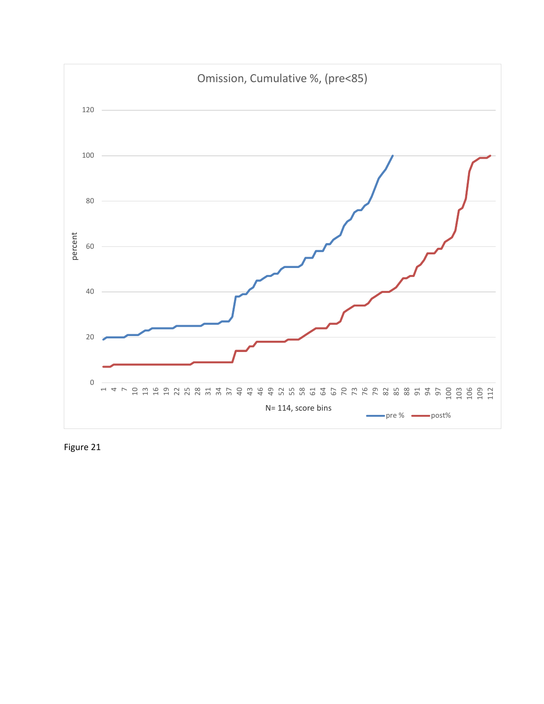

Figure 21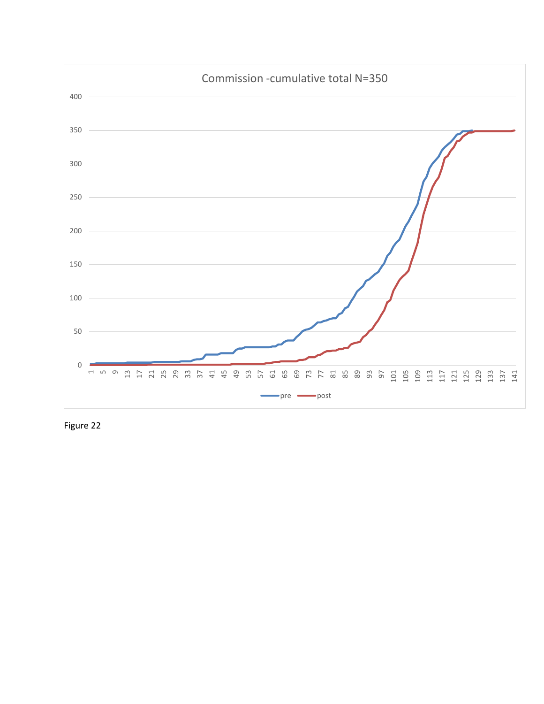

Figure 22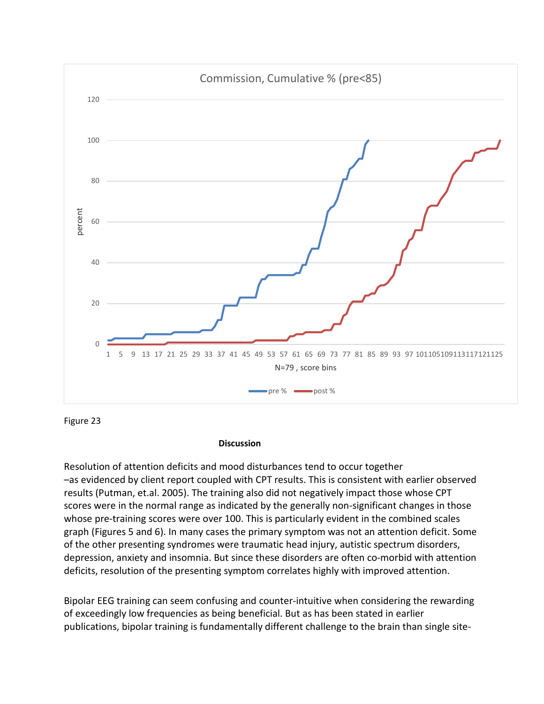

**Discussion**

Resolution of attention deficits and mood disturbances tend to occur together –as evidenced by client report coupled with CPT results. This is consistent with earlier observed results (Putman, et.al. 2005). The training also did not negatively impact those whose CPT scores were in the normal range as indicated by the generally non-significant changes in those whose pre-training scores were over 100. This is particularly evident in the combined scales graph (Figures 5 and 6). In many cases the primary symptom was not an attention deficit. Some of the other presenting syndromes were traumatic head injury, autistic spectrum disorders, depression, anxiety and insomnia. But since these disorders are often co-morbid with attention deficits, resolution of the presenting symptom correlates highly with improved attention.

Bipolar EEG training can seem confusing and counter-intuitive when considering the rewarding of exceedingly low frequencies as being beneficial. But as has been stated in earlier publications, bipolar training is fundamentally different challenge to the brain than single site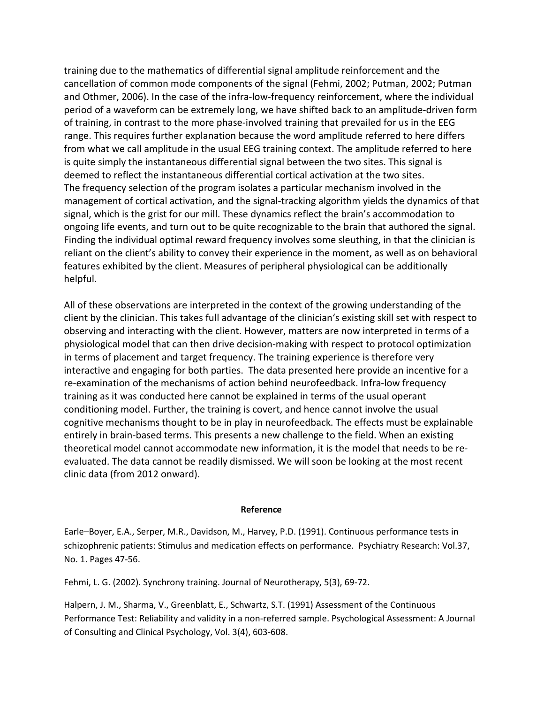training due to the mathematics of differential signal amplitude reinforcement and the cancellation of common mode components of the signal (Fehmi, 2002; Putman, 2002; Putman and Othmer, 2006). In the case of the infra-low-frequency reinforcement, where the individual period of a waveform can be extremely long, we have shifted back to an amplitude-driven form of training, in contrast to the more phase-involved training that prevailed for us in the EEG range. This requires further explanation because the word amplitude referred to here differs from what we call amplitude in the usual EEG training context. The amplitude referred to here is quite simply the instantaneous differential signal between the two sites. This signal is deemed to reflect the instantaneous differential cortical activation at the two sites. The frequency selection of the program isolates a particular mechanism involved in the management of cortical activation, and the signal-tracking algorithm yields the dynamics of that signal, which is the grist for our mill. These dynamics reflect the brain's accommodation to ongoing life events, and turn out to be quite recognizable to the brain that authored the signal. Finding the individual optimal reward frequency involves some sleuthing, in that the clinician is reliant on the client's ability to convey their experience in the moment, as well as on behavioral features exhibited by the client. Measures of peripheral physiological can be additionally helpful.

All of these observations are interpreted in the context of the growing understanding of the client by the clinician. This takes full advantage of the clinician's existing skill set with respect to observing and interacting with the client. However, matters are now interpreted in terms of a physiological model that can then drive decision-making with respect to protocol optimization in terms of placement and target frequency. The training experience is therefore very interactive and engaging for both parties. The data presented here provide an incentive for a re-examination of the mechanisms of action behind neurofeedback. Infra-low frequency training as it was conducted here cannot be explained in terms of the usual operant conditioning model. Further, the training is covert, and hence cannot involve the usual cognitive mechanisms thought to be in play in neurofeedback. The effects must be explainable entirely in brain-based terms. This presents a new challenge to the field. When an existing theoretical model cannot accommodate new information, it is the model that needs to be reevaluated. The data cannot be readily dismissed. We will soon be looking at the most recent clinic data (from 2012 onward).

### **Reference**

Earle–Boyer, E.A., Serper, M.R., Davidson, M., Harvey, P.D. (1991). Continuous performance tests in schizophrenic patients: Stimulus and medication effects on performance. Psychiatry Research: Vol.37, No. 1. Pages 47-56.

Fehmi, L. G. (2002). Synchrony training. Journal of Neurotherapy, 5(3), 69-72.

Halpern, J. M., Sharma, V., Greenblatt, E., Schwartz, S.T. (1991) Assessment of the Continuous Performance Test: Reliability and validity in a non-referred sample. Psychological Assessment: A Journal of Consulting and Clinical Psychology, Vol. 3(4), 603-608.